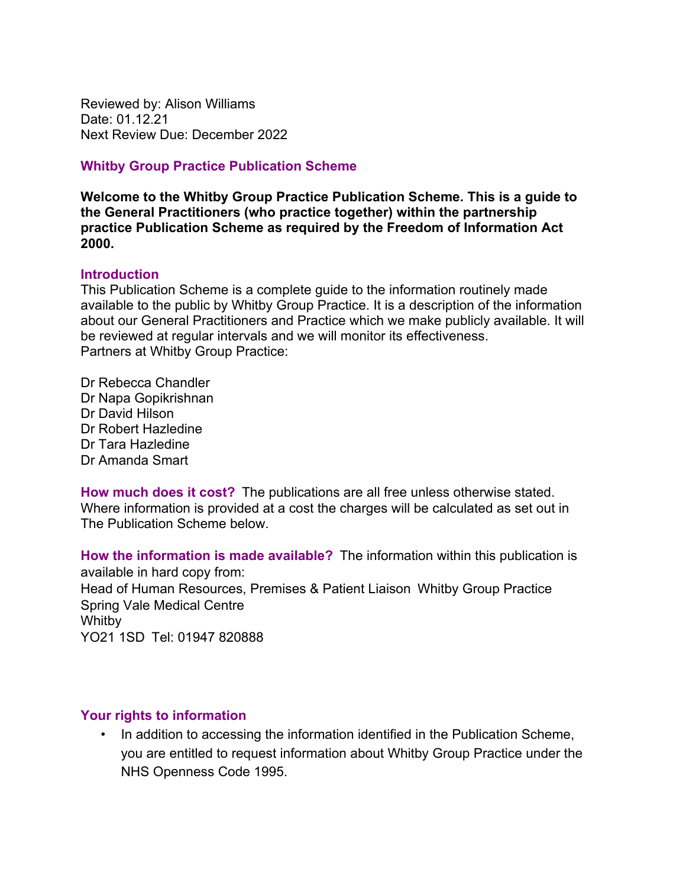Reviewed by: Alison Williams Date: 01.12.21 Next Review Due: December 2022

#### **Whitby Group Practice Publication Scheme**

**Welcome to the Whitby Group Practice Publication Scheme. This is a guide to the General Practitioners (who practice together) within the partnership practice Publication Scheme as required by the Freedom of Information Act 2000.**

#### **Introduction**

This Publication Scheme is a complete guide to the information routinely made available to the public by Whitby Group Practice. It is a description of the information about our General Practitioners and Practice which we make publicly available. It will be reviewed at regular intervals and we will monitor its effectiveness. Partners at Whitby Group Practice:

Dr Rebecca Chandler Dr Napa Gopikrishnan Dr David Hilson Dr Robert Hazledine Dr Tara Hazledine Dr Amanda Smart

**How much does it cost?** The publications are all free unless otherwise stated. Where information is provided at a cost the charges will be calculated as set out in The Publication Scheme below.

**How the information is made available?** The information within this publication is available in hard copy from: Head of Human Resources, Premises & Patient Liaison Whitby Group Practice Spring Vale Medical Centre Whitby YO21 1SD Tel: 01947 820888

### **Your rights to information**

• In addition to accessing the information identified in the Publication Scheme, you are entitled to request information about Whitby Group Practice under the NHS Openness Code 1995.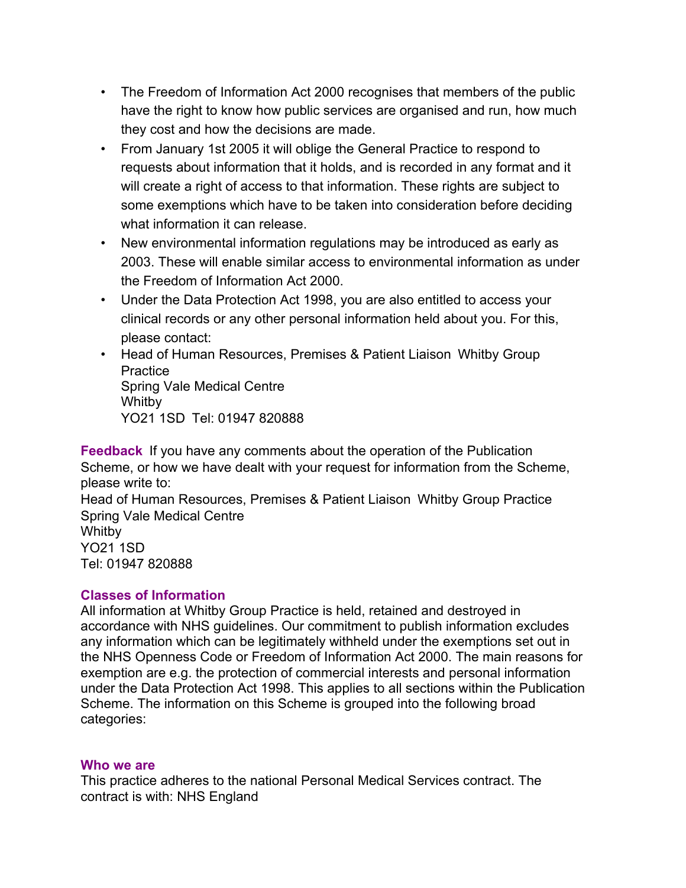- The Freedom of Information Act 2000 recognises that members of the public have the right to know how public services are organised and run, how much they cost and how the decisions are made.
- From January 1st 2005 it will oblige the General Practice to respond to requests about information that it holds, and is recorded in any format and it will create a right of access to that information. These rights are subject to some exemptions which have to be taken into consideration before deciding what information it can release.
- New environmental information regulations may be introduced as early as 2003. These will enable similar access to environmental information as under the Freedom of Information Act 2000.
- Under the Data Protection Act 1998, you are also entitled to access your clinical records or any other personal information held about you. For this, please contact:
- Head of Human Resources, Premises & Patient Liaison Whitby Group **Practice** Spring Vale Medical Centre Whitby YO21 1SD Tel: 01947 820888

**Feedback** If you have any comments about the operation of the Publication Scheme, or how we have dealt with your request for information from the Scheme, please write to: Head of Human Resources, Premises & Patient Liaison Whitby Group Practice Spring Vale Medical Centre Whitby YO21 1SD Tel: 01947 820888

### **Classes of Information**

All information at Whitby Group Practice is held, retained and destroyed in accordance with NHS guidelines. Our commitment to publish information excludes any information which can be legitimately withheld under the exemptions set out in the NHS Openness Code or Freedom of Information Act 2000. The main reasons for exemption are e.g. the protection of commercial interests and personal information under the Data Protection Act 1998. This applies to all sections within the Publication Scheme. The information on this Scheme is grouped into the following broad categories:

#### **Who we are**

This practice adheres to the national Personal Medical Services contract. The contract is with: NHS England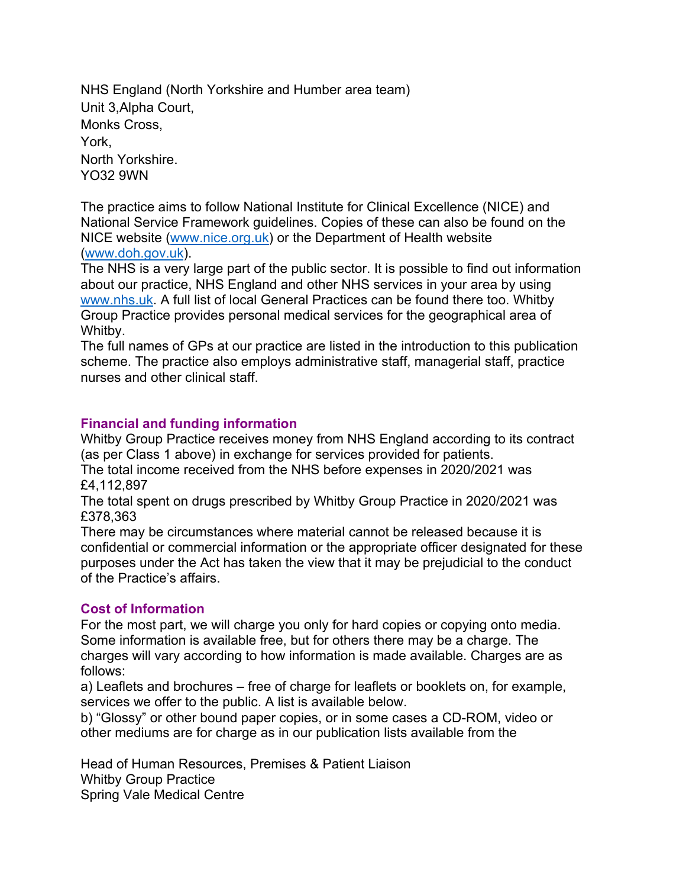NHS England (North Yorkshire and Humber area team) Unit 3,Alpha Court, Monks Cross, York, North Yorkshire. YO32 9WN

The practice aims to follow National Institute for Clinical Excellence (NICE) and National Service Framework guidelines. Copies of these can also be found on the NICE website (www.nice.org.uk) or the Department of Health website (www.doh.gov.uk).

The NHS is a very large part of the public sector. It is possible to find out information about our practice, NHS England and other NHS services in your area by using www.nhs.uk. A full list of local General Practices can be found there too. Whitby Group Practice provides personal medical services for the geographical area of Whitby.

The full names of GPs at our practice are listed in the introduction to this publication scheme. The practice also employs administrative staff, managerial staff, practice nurses and other clinical staff.

# **Financial and funding information**

Whitby Group Practice receives money from NHS England according to its contract (as per Class 1 above) in exchange for services provided for patients.

The total income received from the NHS before expenses in 2020/2021 was £4,112,897

The total spent on drugs prescribed by Whitby Group Practice in 2020/2021 was £378,363

There may be circumstances where material cannot be released because it is confidential or commercial information or the appropriate officer designated for these purposes under the Act has taken the view that it may be prejudicial to the conduct of the Practice's affairs.

### **Cost of Information**

For the most part, we will charge you only for hard copies or copying onto media. Some information is available free, but for others there may be a charge. The charges will vary according to how information is made available. Charges are as follows:

a) Leaflets and brochures – free of charge for leaflets or booklets on, for example, services we offer to the public. A list is available below.

b) "Glossy" or other bound paper copies, or in some cases a CD-ROM, video or other mediums are for charge as in our publication lists available from the

Head of Human Resources, Premises & Patient Liaison Whitby Group Practice Spring Vale Medical Centre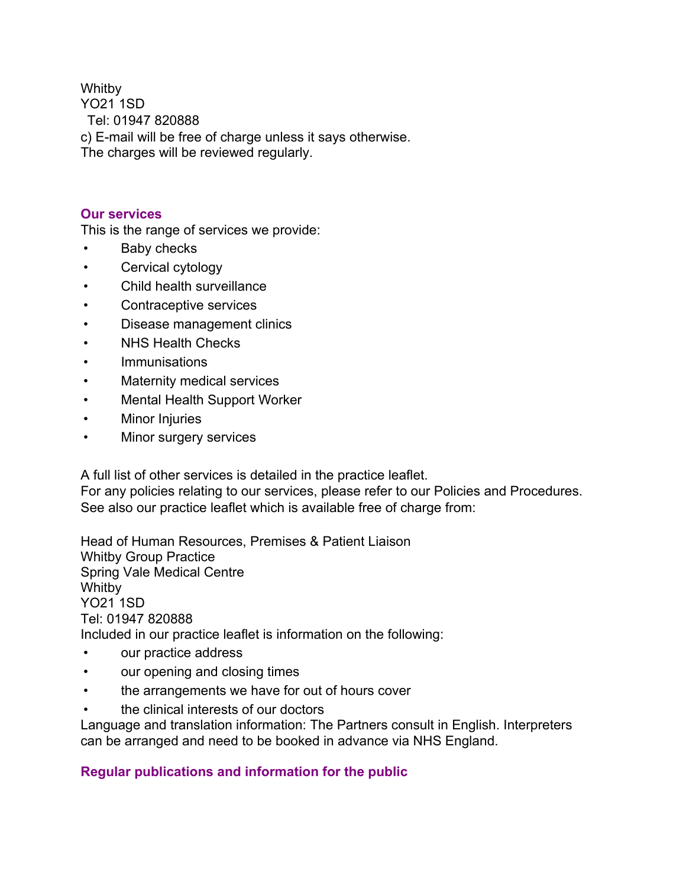**Whitby** 

YO21 1SD

Tel: 01947 820888

c) E-mail will be free of charge unless it says otherwise.

The charges will be reviewed regularly.

## **Our services**

This is the range of services we provide:

- Baby checks
- Cervical cytology
- Child health surveillance
- Contraceptive services
- Disease management clinics
- NHS Health Checks
- Immunisations
- Maternity medical services
- Mental Health Support Worker
- Minor Injuries
- Minor surgery services

A full list of other services is detailed in the practice leaflet.

For any policies relating to our services, please refer to our Policies and Procedures. See also our practice leaflet which is available free of charge from:

Head of Human Resources, Premises & Patient Liaison Whitby Group Practice Spring Vale Medical Centre Whitby YO21 1SD Tel: 01947 820888 Included in our practice leaflet is information on the following:

- our practice address
- our opening and closing times
- the arrangements we have for out of hours cover
- the clinical interests of our doctors

Language and translation information: The Partners consult in English. Interpreters can be arranged and need to be booked in advance via NHS England.

# **Regular publications and information for the public**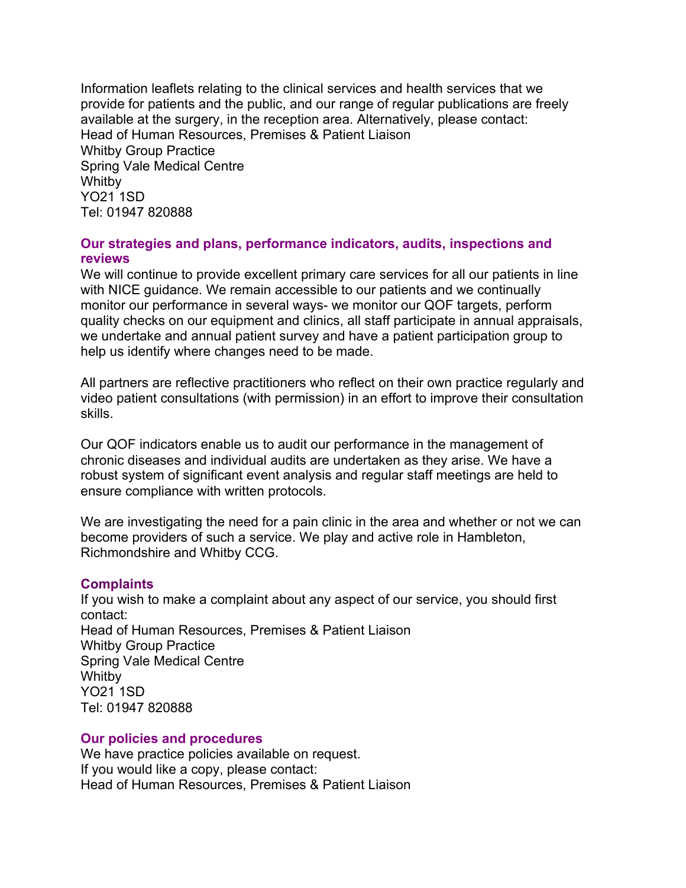Information leaflets relating to the clinical services and health services that we provide for patients and the public, and our range of regular publications are freely available at the surgery, in the reception area. Alternatively, please contact: Head of Human Resources, Premises & Patient Liaison Whitby Group Practice Spring Vale Medical Centre Whitby YO21 1SD Tel: 01947 820888

#### **Our strategies and plans, performance indicators, audits, inspections and reviews**

We will continue to provide excellent primary care services for all our patients in line with NICE guidance. We remain accessible to our patients and we continually monitor our performance in several ways- we monitor our QOF targets, perform quality checks on our equipment and clinics, all staff participate in annual appraisals, we undertake and annual patient survey and have a patient participation group to help us identify where changes need to be made.

All partners are reflective practitioners who reflect on their own practice regularly and video patient consultations (with permission) in an effort to improve their consultation skills.

Our QOF indicators enable us to audit our performance in the management of chronic diseases and individual audits are undertaken as they arise. We have a robust system of significant event analysis and regular staff meetings are held to ensure compliance with written protocols.

We are investigating the need for a pain clinic in the area and whether or not we can become providers of such a service. We play and active role in Hambleton, Richmondshire and Whitby CCG.

#### **Complaints**

If you wish to make a complaint about any aspect of our service, you should first contact: Head of Human Resources, Premises & Patient Liaison Whitby Group Practice Spring Vale Medical Centre **Whitby** YO21 1SD Tel: 01947 820888

#### **Our policies and procedures**

We have practice policies available on request. If you would like a copy, please contact: Head of Human Resources, Premises & Patient Liaison